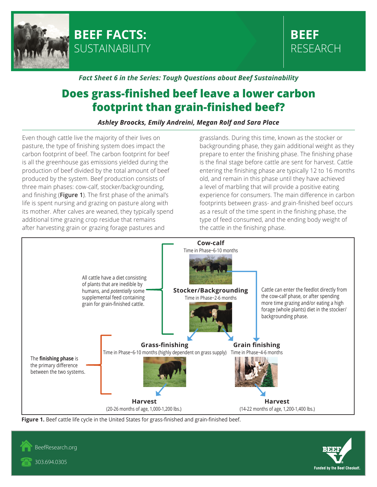



## *Fact Sheet 6 in the Series: Tough Questions about Beef Sustainability*

## **Does grass-finished beef leave a lower carbon footprint than grain-finished beef?**

*Ashley Broocks, Emily Andreini, Megan Rolf and Sara Place*

Even though cattle live the majority of their lives on pasture, the type of finishing system does impact the carbon footprint of beef. The carbon footprint for beef is all the greenhouse gas emissions yielded during the production of beef divided by the total amount of beef produced by the system. Beef production consists of three main phases: cow-calf, stocker/backgrounding, and finishing (**Figure 1**). The first phase of the animal's life is spent nursing and grazing on pasture along with its mother. After calves are weaned, they typically spend additional time grazing crop residue that remains after harvesting grain or grazing forage pastures and

grasslands. During this time, known as the stocker or backgrounding phase, they gain additional weight as they prepare to enter the finishing phase. The finishing phase is the final stage before cattle are sent for harvest. Cattle entering the finishing phase are typically 12 to 16 months old, and remain in this phase until they have achieved a level of marbling that will provide a positive eating experience for consumers. The main difference in carbon footprints between grass- and grain-finished beef occurs as a result of the time spent in the finishing phase, the type of feed consumed, and the ending body weight of the cattle in the finishing phase.







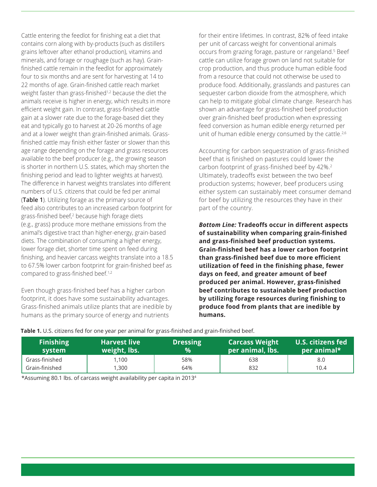Cattle entering the feedlot for finishing eat a diet that contains corn along with by-products (such as distillers grains leftover after ethanol production), vitamins and minerals, and forage or roughage (such as hay). Grainfinished cattle remain in the feedlot for approximately four to six months and are sent for harvesting at 14 to 22 months of age. Grain-finished cattle reach market weight faster than grass-finished<sup>1,2</sup> because the diet the animals receive is higher in energy, which results in more efficient weight gain. In contrast, grass-finished cattle gain at a slower rate due to the forage-based diet they eat and typically go to harvest at 20-26 months of age and at a lower weight than grain-finished animals. Grassfinished cattle may finish either faster or slower than this age range depending on the forage and grass resources available to the beef producer (e.g., the growing season is shorter in northern U.S. states, which may shorten the finishing period and lead to lighter weights at harvest). The difference in harvest weights translates into different numbers of U.S. citizens that could be fed per animal (**Table 1**). Utilizing forage as the primary source of feed also contributes to an increased carbon footprint for grass-finished beef,<sup>2</sup> because high forage diets (e.g., grass) produce more methane emissions from the animal's digestive tract than higher-energy, grain-based diets. The combination of consuming a higher energy, lower forage diet, shorter time spent on feed during finishing, and heavier carcass weights translate into a 18.5 to 67.5% lower carbon footprint for grain-finished beef as compared to grass-finished beef.<sup>1,2</sup>

Even though grass-finished beef has a higher carbon footprint, it does have some sustainability advantages. Grass-finished animals utilize plants that are inedible by humans as the primary source of energy and nutrients

for their entire lifetimes. In contrast, 82% of feed intake per unit of carcass weight for conventional animals occurs from grazing forage, pasture or rangeland.<sup>5</sup> Beef cattle can utilize forage grown on land not suitable for crop production, and thus produce human edible food from a resource that could not otherwise be used to produce food. Additionally, grasslands and pastures can sequester carbon dioxide from the atmosphere, which can help to mitigate global climate change. Research has shown an advantage for grass-finished beef production over grain-finished beef production when expressing feed conversion as human edible energy returned per unit of human edible energy consumed by the cattle.<sup>2,6</sup>

Accounting for carbon sequestration of grass-finished beef that is finished on pastures could lower the carbon footprint of grass-finished beef by 42%.<sup>2</sup> Ultimately, tradeoffs exist between the two beef production systems; however, beef producers using either system can sustainably meet consumer demand for beef by utilizing the resources they have in their part of the country.

*Bottom Line:* **Tradeoffs occur in different aspects of sustainability when comparing grain-finished and grass-finished beef production systems. Grain-finished beef has a lower carbon footprint than grass-finished beef due to more efficient utilization of feed in the finishing phase, fewer days on feed, and greater amount of beef produced per animal. However, grass-finished beef contributes to sustainable beef production by utilizing forage resources during finishing to produce food from plants that are inedible by humans.**

| <b>Finishing</b><br>system | <b>Harvest live</b><br>weight, lbs. | <b>Dressing</b><br>$\frac{9}{6}$ | <b>Carcass Weight</b><br>per animal, lbs. | U.S. citizens fed<br>per animal* |
|----------------------------|-------------------------------------|----------------------------------|-------------------------------------------|----------------------------------|
| Grass-finished             | 1,100                               | 58%                              | 638                                       | 8.0                              |
| Grain-finished             | 1,300                               | 64%                              | 832                                       | 10.4                             |

**Table 1.** U.S. citizens fed for one year per animal for grass-finished and grain-finished beef.

\*Assuming 80.1 lbs. of carcass weight availability per capita in 20134